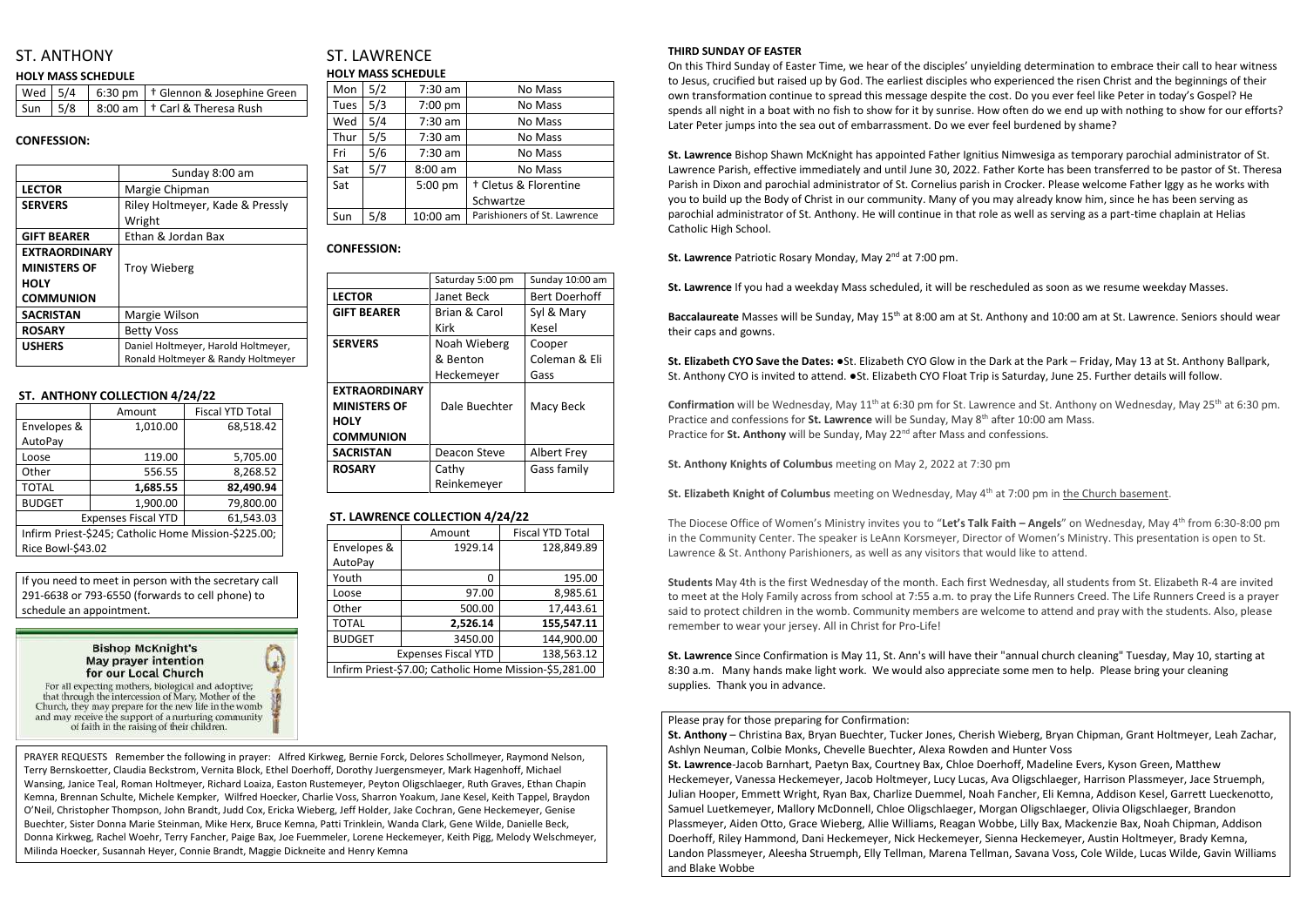# ST. ANTHONY

#### **HOLY MASS SCHEDULE**

|  | Wed   5/4   6:30 pm   † Glennon & Josephine Green                     |
|--|-----------------------------------------------------------------------|
|  | $\vert$ Sun $\vert$ 5/8 $\vert$ 8:00 am $\vert$ † Carl & Theresa Rush |

#### **CONFESSION:**

|                      | Sunday 8:00 am                      |  |
|----------------------|-------------------------------------|--|
| <b>LECTOR</b>        | Margie Chipman                      |  |
| <b>SERVERS</b>       | Riley Holtmeyer, Kade & Pressly     |  |
|                      | Wright                              |  |
| <b>GIFT BEARER</b>   | Ethan & Jordan Bax                  |  |
| <b>EXTRAORDINARY</b> |                                     |  |
| <b>MINISTERS OF</b>  | <b>Troy Wieberg</b>                 |  |
| <b>HOLY</b>          |                                     |  |
| <b>COMMUNION</b>     |                                     |  |
| <b>SACRISTAN</b>     | Margie Wilson                       |  |
| <b>ROSARY</b>        | <b>Betty Voss</b>                   |  |
| <b>USHERS</b>        | Daniel Holtmeyer, Harold Holtmeyer, |  |
|                      | Ronald Holtmeyer & Randy Holtmeyer  |  |

#### **ST. ANTHONY COLLECTION 4/24/22**

|                                                      | Amount   | <b>Fiscal YTD Total</b> |  |
|------------------------------------------------------|----------|-------------------------|--|
| Envelopes &                                          | 1,010.00 | 68,518.42               |  |
| AutoPay                                              |          |                         |  |
| Loose                                                | 119.00   | 5,705.00                |  |
| Other                                                | 556.55   | 8,268.52                |  |
| <b>TOTAL</b>                                         | 1,685.55 | 82,490.94               |  |
| <b>BUDGET</b>                                        | 1,900.00 | 79,800.00               |  |
| 61,543.03<br><b>Expenses Fiscal YTD</b>              |          |                         |  |
| Infirm Priest-\$245; Catholic Home Mission-\$225.00; |          |                         |  |
| Rice Bowl-\$43.02                                    |          |                         |  |
|                                                      |          |                         |  |

# ST. LAWRENCE **HOLY MASS SCHEDULE**

| Mon  | 5/2 | $7:30$ am  | No Mass                          |  |
|------|-----|------------|----------------------------------|--|
| Tues | 5/3 | 7:00 pm    | No Mass                          |  |
| Wed  | 5/4 | $7:30$ am  | No Mass                          |  |
| Thur | 5/5 | $7:30$ am  | No Mass                          |  |
| Fri  | 5/6 | $7:30$ am  | No Mass                          |  |
| Sat  | 5/7 | $8:00$ am  | No Mass                          |  |
| Sat  |     | 5:00 pm    | <sup>†</sup> Cletus & Florentine |  |
|      |     |            | Schwartze                        |  |
| Sun  | 5/8 | $10:00$ am | Parishioners of St. Lawrence     |  |

## **CONFESSION:**

|                      | Saturday 5:00 pm | Sunday 10:00 am      |
|----------------------|------------------|----------------------|
| <b>LECTOR</b>        | Janet Beck       | <b>Bert Doerhoff</b> |
| <b>GIFT BEARER</b>   | Brian & Carol    | Syl & Mary           |
|                      | Kirk             | Kesel                |
| <b>SERVERS</b>       | Noah Wieberg     | Cooper               |
|                      | & Benton         | Coleman & Eli        |
|                      | Heckemeyer       | Gass                 |
| <b>EXTRAORDINARY</b> |                  |                      |
| <b>MINISTERS OF</b>  | Dale Buechter    | Macy Beck            |
| HOLY                 |                  |                      |
| <b>COMMUNION</b>     |                  |                      |
| <b>SACRISTAN</b>     | Deacon Steve     | <b>Albert Frey</b>   |
| <b>ROSARY</b>        | Cathy            | Gass family          |
|                      | Reinkemeyer      |                      |

### **ST. LAWRENCE COLLECTION 4/24/22**

|                                                        | Amount   | <b>Fiscal YTD Total</b> |
|--------------------------------------------------------|----------|-------------------------|
| Envelopes &                                            | 1929.14  | 128,849.89              |
| AutoPay                                                |          |                         |
| Youth                                                  | O        | 195.00                  |
| Loose                                                  | 97.00    | 8,985.61                |
| Other                                                  | 500.00   | 17,443.61               |
| <b>TOTAL</b>                                           | 2,526.14 | 155,547.11              |
| <b>BUDGET</b>                                          | 3450.00  | 144,900.00              |
| 138,563.12<br><b>Expenses Fiscal YTD</b>               |          |                         |
| Infirm Priest-\$7.00; Catholic Home Mission-\$5,281.00 |          |                         |

Baccalaureate Masses will be Sunday, May 15<sup>th</sup> at 8:00 am at St. Anthony and 10:00 am at St. Lawrence. Seniors should wear their caps and gowns.

#### **THIRD SUNDAY OF EASTER**

On this Third Sunday of Easter Time, we hear of the disciples' unyielding determination to embrace their call to hear witness to Jesus, crucified but raised up by God. The earliest disciples who experienced the risen Christ and the beginnings of their own transformation continue to spread this message despite the cost. Do you ever feel like Peter in today's Gospel? He spends all night in a boat with no fish to show for it by sunrise. How often do we end up with nothing to show for our efforts? Later Peter jumps into the sea out of embarrassment. Do we ever feel burdened by shame?

The Diocese Office of Women's Ministry invites you to "Let's Talk Faith – Angels" on Wednesday, May 4<sup>th</sup> from 6:30-8:00 pm in the Community Center. The speaker is LeAnn Korsmeyer, Director of Women's Ministry. This presentation is open to St. Lawrence & St. Anthony Parishioners, as well as any visitors that would like to attend.

**St. Lawrence** Bishop Shawn McKnight has appointed Father Ignitius Nimwesiga as temporary parochial administrator of St. Lawrence Parish, effective immediately and until June 30, 2022. Father Korte has been transferred to be pastor of St. Theresa Parish in Dixon and parochial administrator of St. Cornelius parish in Crocker. Please welcome Father Iggy as he works with you to build up the Body of Christ in our community. Many of you may already know him, since he has been serving as parochial administrator of St. Anthony. He will continue in that role as well as serving as a part-time chaplain at Helias Catholic High School.

**St. Lawrence** Patriotic Rosary Monday, May 2<sup>nd</sup> at 7:00 pm.

**St. Lawrence** If you had a weekday Mass scheduled, it will be rescheduled as soon as we resume weekday Masses.

**St. Elizabeth CYO Save the Dates:** ●St. Elizabeth CYO Glow in the Dark at the Park – Friday, May 13 at St. Anthony Ballpark, St. Anthony CYO is invited to attend. ●St. Elizabeth CYO Float Trip is Saturday, June 25. Further details will follow.

Confirmation will be Wednesday, May 11<sup>th</sup> at 6:30 pm for St. Lawrence and St. Anthony on Wednesday, May 25<sup>th</sup> at 6:30 pm. Practice and confessions for St. Lawrence will be Sunday, May 8<sup>th</sup> after 10:00 am Mass. Practice for **St. Anthony** will be Sunday, May 22<sup>nd</sup> after Mass and confessions.

**St. Anthony Knights of Columbus** meeting on May 2, 2022 at 7:30 pm

**St. Elizabeth Knight of Columbus** meeting on Wednesday, May 4th at 7:00 pm in the Church basement.

**Students** May 4th is the first Wednesday of the month. Each first Wednesday, all students from St. Elizabeth R-4 are invited to meet at the Holy Family across from school at 7:55 a.m. to pray the Life Runners Creed. The Life Runners Creed is a prayer said to protect children in the womb. Community members are welcome to attend and pray with the students. Also, please remember to wear your jersey. All in Christ for Pro-Life!

**St. Lawrence** Since Confirmation is May 11, St. Ann's will have their "annual church cleaning" Tuesday, May 10, starting at 8:30 a.m. Many hands make light work. We would also appreciate some men to help. Please bring your cleaning supplies. Thank you in advance.

Please pray for those preparing for Confirmation:

**St. Anthony** – Christina Bax, Bryan Buechter, Tucker Jones, Cherish Wieberg, Bryan Chipman, Grant Holtmeyer, Leah Zachar, Ashlyn Neuman, Colbie Monks, Chevelle Buechter, Alexa Rowden and Hunter Voss **St. Lawrence**-Jacob Barnhart, Paetyn Bax, Courtney Bax, Chloe Doerhoff, Madeline Evers, Kyson Green, Matthew Heckemeyer, Vanessa Heckemeyer, Jacob Holtmeyer, Lucy Lucas, Ava Oligschlaeger, Harrison Plassmeyer, Jace Struemph, Julian Hooper, Emmett Wright, Ryan Bax, Charlize Duemmel, Noah Fancher, Eli Kemna, Addison Kesel, Garrett Lueckenotto, Samuel Luetkemeyer, Mallory McDonnell, Chloe Oligschlaeger, Morgan Oligschlaeger, Olivia Oligschlaeger, Brandon Plassmeyer, Aiden Otto, Grace Wieberg, Allie Williams, Reagan Wobbe, Lilly Bax, Mackenzie Bax, Noah Chipman, Addison Doerhoff, Riley Hammond, Dani Heckemeyer, Nick Heckemeyer, Sienna Heckemeyer, Austin Holtmeyer, Brady Kemna, Landon Plassmeyer, Aleesha Struemph, Elly Tellman, Marena Tellman, Savana Voss, Cole Wilde, Lucas Wilde, Gavin Williams and Blake Wobbe

If you need to meet in person with the secretary call 291-6638 or 793-6550 (forwards to cell phone) to schedule an appointment.

#### **Bishop McKnight's May prayer intention** for our Local Church



For all expecting mothers, biological and adoptive; that through the intercession of Mary, Mother of the Church, they may prepare for the new life in the womb and may receive the support of a nurturing community of faith in the raising of their children.

PRAYER REQUESTS Remember the following in prayer: Alfred Kirkweg, Bernie Forck, Delores Schollmeyer, Raymond Nelson, Terry Bernskoetter, Claudia Beckstrom, Vernita Block, Ethel Doerhoff, Dorothy Juergensmeyer, Mark Hagenhoff, Michael Wansing, Janice Teal, Roman Holtmeyer, Richard Loaiza, Easton Rustemeyer, Peyton Oligschlaeger, Ruth Graves, Ethan Chapin Kemna, Brennan Schulte, Michele Kempker, Wilfred Hoecker, Charlie Voss, Sharron Yoakum, Jane Kesel, Keith Tappel, Braydon O'Neil, Christopher Thompson, John Brandt, Judd Cox, Ericka Wieberg, Jeff Holder, Jake Cochran, Gene Heckemeyer, Genise Buechter, Sister Donna Marie Steinman, Mike Herx, Bruce Kemna, Patti Trinklein, Wanda Clark, Gene Wilde, Danielle Beck, Donna Kirkweg, Rachel Woehr, Terry Fancher, Paige Bax, Joe Fuemmeler, Lorene Heckemeyer, Keith Pigg, Melody Welschmeyer, Milinda Hoecker, Susannah Heyer, Connie Brandt, Maggie Dickneite and Henry Kemna